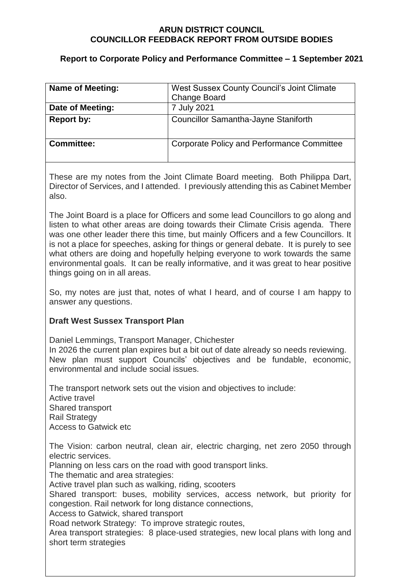# **Report to Corporate Policy and Performance Committee – 1 September 2021**

| <b>Name of Meeting:</b> | West Sussex County Council's Joint Climate<br><b>Change Board</b> |
|-------------------------|-------------------------------------------------------------------|
| Date of Meeting:        | 7 July 2021                                                       |
| <b>Report by:</b>       | <b>Councillor Samantha-Jayne Staniforth</b>                       |
| <b>Committee:</b>       | Corporate Policy and Performance Committee                        |

These are my notes from the Joint Climate Board meeting. Both Philippa Dart, Director of Services, and I attended. I previously attending this as Cabinet Member also.

The Joint Board is a place for Officers and some lead Councillors to go along and listen to what other areas are doing towards their Climate Crisis agenda. There was one other leader there this time, but mainly Officers and a few Councillors. It is not a place for speeches, asking for things or general debate. It is purely to see what others are doing and hopefully helping everyone to work towards the same environmental goals. It can be really informative, and it was great to hear positive things going on in all areas.

So, my notes are just that, notes of what I heard, and of course I am happy to answer any questions.

# **Draft West Sussex Transport Plan**

Daniel Lemmings, Transport Manager, Chichester In 2026 the current plan expires but a bit out of date already so needs reviewing. New plan must support Councils' objectives and be fundable, economic, environmental and include social issues.

The transport network sets out the vision and objectives to include: Active travel Shared transport Rail Strategy Access to Gatwick etc

The Vision: carbon neutral, clean air, electric charging, net zero 2050 through electric services.

Planning on less cars on the road with good transport links.

The thematic and area strategies:

Active travel plan such as walking, riding, scooters

Shared transport: buses, mobility services, access network, but priority for congestion. Rail network for long distance connections,

Access to Gatwick, shared transport

Road network Strategy: To improve strategic routes,

Area transport strategies: 8 place-used strategies, new local plans with long and short term strategies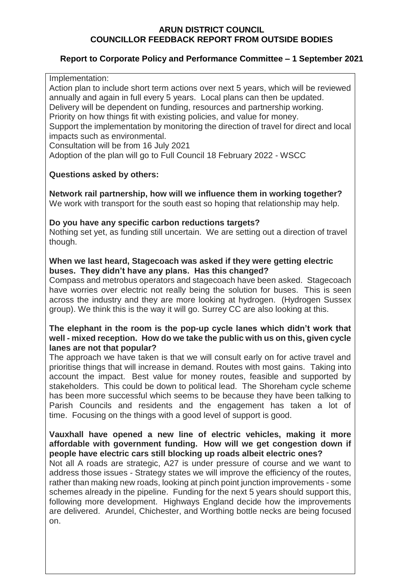# **Report to Corporate Policy and Performance Committee – 1 September 2021**

Implementation:

Action plan to include short term actions over next 5 years, which will be reviewed annually and again in full every 5 years. Local plans can then be updated. Delivery will be dependent on funding, resources and partnership working. Priority on how things fit with existing policies, and value for money. Support the implementation by monitoring the direction of travel for direct and local impacts such as environmental.

Consultation will be from 16 July 2021

Adoption of the plan will go to Full Council 18 February 2022 - WSCC

# **Questions asked by others:**

**Network rail partnership, how will we influence them in working together?** We work with transport for the south east so hoping that relationship may help.

### **Do you have any specific carbon reductions targets?**

Nothing set yet, as funding still uncertain. We are setting out a direction of travel though.

### **When we last heard, Stagecoach was asked if they were getting electric buses. They didn't have any plans. Has this changed?**

Compass and metrobus operators and stagecoach have been asked. Stagecoach have worries over electric not really being the solution for buses. This is seen across the industry and they are more looking at hydrogen. (Hydrogen Sussex group). We think this is the way it will go. Surrey CC are also looking at this.

### **The elephant in the room is the pop-up cycle lanes which didn't work that well - mixed reception. How do we take the public with us on this, given cycle lanes are not that popular?**

The approach we have taken is that we will consult early on for active travel and prioritise things that will increase in demand. Routes with most gains. Taking into account the impact. Best value for money routes, feasible and supported by stakeholders. This could be down to political lead. The Shoreham cycle scheme has been more successful which seems to be because they have been talking to Parish Councils and residents and the engagement has taken a lot of time. Focusing on the things with a good level of support is good.

### **Vauxhall have opened a new line of electric vehicles, making it more affordable with government funding. How will we get congestion down if people have electric cars still blocking up roads albeit electric ones?**

Not all A roads are strategic, A27 is under pressure of course and we want to address those issues - Strategy states we will improve the efficiency of the routes, rather than making new roads, looking at pinch point junction improvements - some schemes already in the pipeline. Funding for the next 5 years should support this, following more development. Highways England decide how the improvements are delivered. Arundel, Chichester, and Worthing bottle necks are being focused on.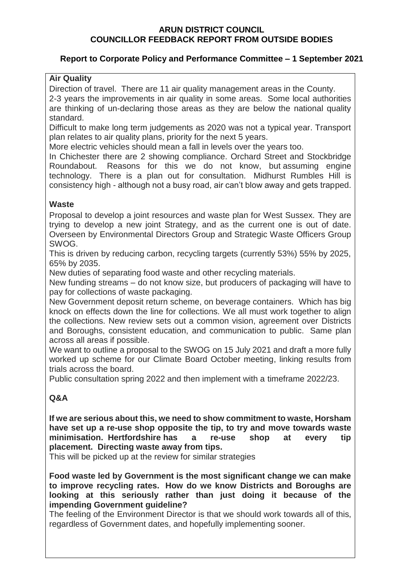# **Report to Corporate Policy and Performance Committee – 1 September 2021**

# **Air Quality**

Direction of travel. There are 11 air quality management areas in the County. 2-3 years the improvements in air quality in some areas. Some local authorities are thinking of un-declaring those areas as they are below the national quality standard.

Difficult to make long term judgements as 2020 was not a typical year. Transport plan relates to air quality plans, priority for the next 5 years.

More electric vehicles should mean a fall in levels over the years too.

In Chichester there are 2 showing compliance. Orchard Street and Stockbridge Roundabout. Reasons for this we do not know, but assuming engine technology. There is a plan out for consultation. Midhurst Rumbles Hill is consistency high - although not a busy road, air can't blow away and gets trapped.

# **Waste**

Proposal to develop a joint resources and waste plan for West Sussex. They are trying to develop a new joint Strategy, and as the current one is out of date. Overseen by Environmental Directors Group and Strategic Waste Officers Group SWOG.

This is driven by reducing carbon, recycling targets (currently 53%) 55% by 2025, 65% by 2035.

New duties of separating food waste and other recycling materials.

New funding streams – do not know size, but producers of packaging will have to pay for collections of waste packaging.

New Government deposit return scheme, on beverage containers. Which has big knock on effects down the line for collections. We all must work together to align the collections. New review sets out a common vision, agreement over Districts and Boroughs, consistent education, and communication to public. Same plan across all areas if possible.

We want to outline a proposal to the SWOG on 15 July 2021 and draft a more fully worked up scheme for our Climate Board October meeting, linking results from trials across the board.

Public consultation spring 2022 and then implement with a timeframe 2022/23.

# **Q&A**

**If we are serious about this, we need to show commitment to waste, Horsham have set up a re-use shop opposite the tip, to try and move towards waste minimisation. Hertfordshire has a re-use shop at every tip placement. Directing waste away from tips.**

This will be picked up at the review for similar strategies

**Food waste led by Government is the most significant change we can make to improve recycling rates. How do we know Districts and Boroughs are looking at this seriously rather than just doing it because of the impending Government guideline?**

The feeling of the Environment Director is that we should work towards all of this, regardless of Government dates, and hopefully implementing sooner.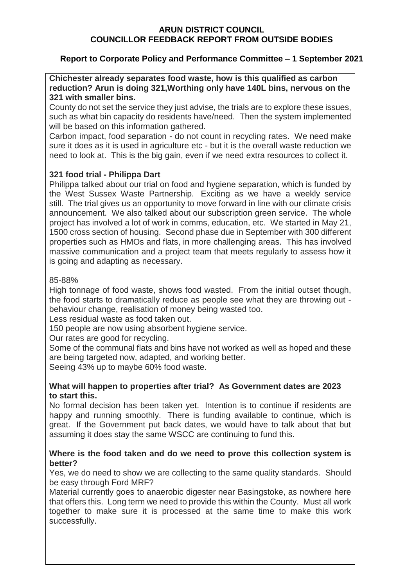# **Report to Corporate Policy and Performance Committee – 1 September 2021**

**Chichester already separates food waste, how is this qualified as carbon reduction? Arun is doing 321,Worthing only have 140L bins, nervous on the 321 with smaller bins.**

County do not set the service they just advise, the trials are to explore these issues, such as what bin capacity do residents have/need. Then the system implemented will be based on this information gathered.

Carbon impact, food separation - do not count in recycling rates. We need make sure it does as it is used in agriculture etc - but it is the overall waste reduction we need to look at. This is the big gain, even if we need extra resources to collect it.

### **321 food trial - Philippa Dart**

Philippa talked about our trial on food and hygiene separation, which is funded by the West Sussex Waste Partnership. Exciting as we have a weekly service still. The trial gives us an opportunity to move forward in line with our climate crisis announcement. We also talked about our subscription green service. The whole project has involved a lot of work in comms, education, etc. We started in May 21, 1500 cross section of housing. Second phase due in September with 300 different properties such as HMOs and flats, in more challenging areas. This has involved massive communication and a project team that meets regularly to assess how it is going and adapting as necessary.

### 85-88%

High tonnage of food waste, shows food wasted. From the initial outset though, the food starts to dramatically reduce as people see what they are throwing out behaviour change, realisation of money being wasted too.

Less residual waste as food taken out.

150 people are now using absorbent hygiene service.

Our rates are good for recycling.

Some of the communal flats and bins have not worked as well as hoped and these are being targeted now, adapted, and working better.

Seeing 43% up to maybe 60% food waste.

### **What will happen to properties after trial? As Government dates are 2023 to start this.**

No formal decision has been taken yet. Intention is to continue if residents are happy and running smoothly. There is funding available to continue, which is great. If the Government put back dates, we would have to talk about that but assuming it does stay the same WSCC are continuing to fund this.

### **Where is the food taken and do we need to prove this collection system is better?**

Yes, we do need to show we are collecting to the same quality standards. Should be easy through Ford MRF?

Material currently goes to anaerobic digester near Basingstoke, as nowhere here that offers this. Long term we need to provide this within the County. Must all work together to make sure it is processed at the same time to make this work successfully.